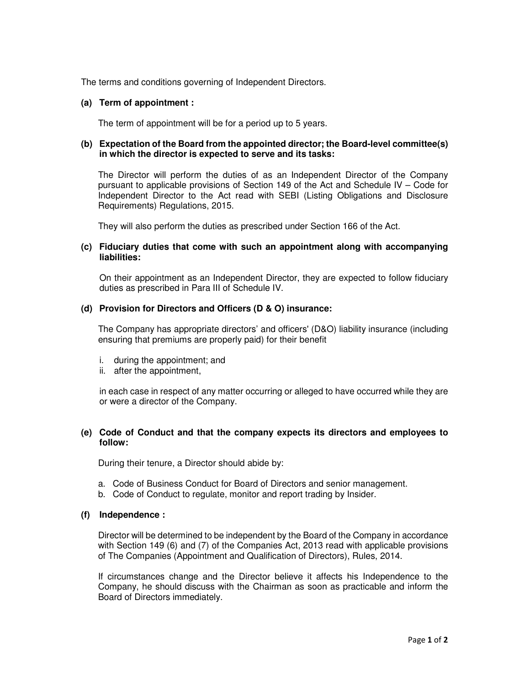The terms and conditions governing of Independent Directors.

# **(a) Term of appointment :**

The term of appointment will be for a period up to 5 years.

# **(b) Expectation of the Board from the appointed director; the Board-level committee(s) in which the director is expected to serve and its tasks:**

The Director will perform the duties of as an Independent Director of the Company pursuant to applicable provisions of Section 149 of the Act and Schedule IV – Code for Independent Director to the Act read with SEBI (Listing Obligations and Disclosure Requirements) Regulations, 2015.

They will also perform the duties as prescribed under Section 166 of the Act.

## **(c) Fiduciary duties that come with such an appointment along with accompanying liabilities:**

On their appointment as an Independent Director, they are expected to follow fiduciary duties as prescribed in Para III of Schedule IV.

# **(d) Provision for Directors and Officers (D & O) insurance:**

The Company has appropriate directors' and officers' (D&O) liability insurance (including ensuring that premiums are properly paid) for their benefit

- i. during the appointment; and
- ii. after the appointment,

in each case in respect of any matter occurring or alleged to have occurred while they are or were a director of the Company.

# **(e) Code of Conduct and that the company expects its directors and employees to follow:**

During their tenure, a Director should abide by:

- a. Code of Business Conduct for Board of Directors and senior management.
- b. Code of Conduct to regulate, monitor and report trading by Insider.

# **(f) Independence :**

Director will be determined to be independent by the Board of the Company in accordance with Section 149 (6) and (7) of the Companies Act, 2013 read with applicable provisions of The Companies (Appointment and Qualification of Directors), Rules, 2014.

If circumstances change and the Director believe it affects his Independence to the Company, he should discuss with the Chairman as soon as practicable and inform the Board of Directors immediately.